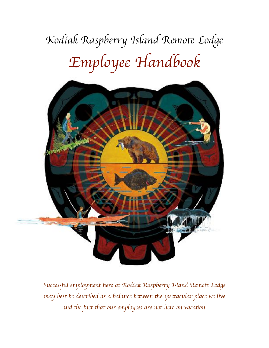# *Kodiak Raspberry Island Remo*t *Lodge Employee Handbook*



*Success*fu*l employment here at Kodiak Raspberry Island Remo*t *Lodge may best be described as a balance between* th*e spectacular place we live and* th*e fact* th*at our employees are not here on vaca*ti*on.*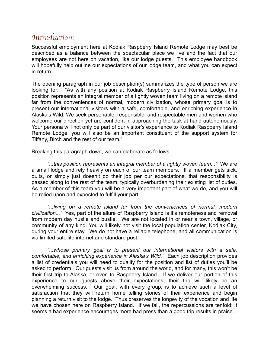### *In*tr*oduc*ti*on:*

Successful employment here at Kodiak Raspberry Island Remote Lodge may best be described as a balance between the spectacular place we live and the fact that our employees are not here on vacation, like our lodge guests. This employee handbook will hopefully help outline our expectations of our lodge team, and what you can expect in return.

The opening paragraph in our job description(s) summarizes the type of person we are looking for: "As with any position at Kodiak Raspberry Island Remote Lodge, this position represents an integral member of a tightly woven team living on a remote island far from the conveniences of normal, modern civilization, whose primary goal is to present our international visitors with a safe, comfortable, and enriching experience in Alaska's Wild. We seek personable, responsible, and respectable men and women who welcome our direction yet are confident in approaching the task at hand autonomously. Your persona will not only be part of our visitor's experience to Kodiak Raspberry Island Remote Lodge; you will also be an important constituent of the support system for Tiffany, Birch and the rest of our team."

Breaking this paragraph down, we can elaborate as follows:

*"...this position represents an integral member of a tightly woven team..."* We are a small lodge and rely heavily on each of our team members. If a member gets sick, quits, or simply just doesn't do their job per our expectations, that responsibility is passed along to the rest of the team, typically overburdening their existing list of duties. As a member of this team you will be a very important part of what we do, and you will be relied upon and expected to fulfill your part.

*"...living on a remote island far from the conveniences of normal, modern civilization..."* Yes, part of the allure of Raspberry Island is it's remoteness and removal from modern day hustle and bustle. We are not located in or near a town, village, or community of any kind. You will likely not visit the local population center, Kodiak City, during your entire stay. We do not have a reliable telephone, and all communication is via limited satellite internet and standard post.

*"...whose primary goal is to present our international visitors with a safe, comfortable, and enriching experience in Alaska's Wild."* Each job description provides a list of credentials you will need to qualify for the position and list of duties you'll be asked to perform. Our guests visit us from around the world, and for many, this won't be their first trip to Alaska, or even to Raspberry Island. If we deliver our portion of this experience to our guests above their expectations, their trip will likely be an overwhelming success. Our goal, with every group, is to achieve such a level of satisfaction that they will return home telling stories of their experience and begin planning a return visit to the lodge. Thus preserves the longevity of the vocation and life we have chosen here on Raspberry Island. If we fail, the repercussions are tenfold; it seems a bad experience encourages more bad press than a good trip results in praise.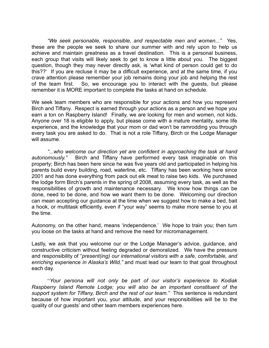*"We seek personable, responsible, and respectable men and women..."* Yes, these are the people we seek to share our summer with and rely upon to help us achieve and maintain greatness as a travel destination. This is a personal business, each group that visits will likely seek to get to know a little about you. The biggest question, though they may never directly ask, is 'what kind of person could get to do this??' If you are recluse it may be a difficult experience, and at the same time, if you crave attention please remember your job remains doing your job and helping the rest of the team first. So, we encourage you to interact with the guests, but please remember it is MORE important to complete the tasks at hand on schedule.

We seek team members who are responsible for your actions and how you represent Birch and Tiffany. Respect is earned through your actions as a person and we hope you earn a ton on Raspberry Island! Finally, we are looking for men and women, not kids. Anyone over 18 is eligible to apply, but please come with a mature mentality, some life experience, and the knowledge that your mom or dad won't be ramrodding you through every task you are asked to do. That is not a role Tiffany, Birch or the Lodge Manager will assume.

*"...who welcome our direction yet are confident in approaching the task at hand autonomously."* Birch and Tiffany have performed every task imaginable on this property; Birch has been here since he was five years old and participated in helping his parents build every building, road, waterline, etc. Tiffany has been working here since 2001 and has done everything from pack out elk meat to raise two kids. We purchased the lodge form Birch's parents in the spring of 2008, assuming every task, as well as the responsibilities of growth and maintenance necessary. We know how things can be done, need to be done, and how we want them to be done. Welcoming our direction can mean accepting our guidance at the time when we suggest how to make a bed, bait a hook, or multitask efficiently, even if "your way" seems to make more sense to you at the time.

Autonomy, on the other hand, means 'independence.' We hope to train you; then turn you loose on the tasks at hand and remove the need for micromanagement.

Lastly, we ask that you welcome our or the Lodge Manager's advice, guidance, and constructive criticism without feeling degraded or demoralized. We have the pressure and responsibility of "*present(ing) our international visitors with a safe, comfortable, and enriching experience in Alaska's Wild,"* and must lead our team to that goal throughout each day.

"*Your persona will not only be part of our visitor's experience to Kodiak Raspberry Island Remote Lodge; you will also be an important constituent of the support system for Tiffany, Birch and the rest of our team."* This sentence is redundant because of how important you, your attitude, and your responsibilities will be to the quality of our guests' and other team members experiences here.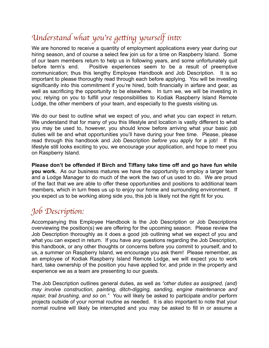# *Understand what you*'*re ge*tt*ing yourself in*to*:*

We are honored to receive a quantity of employment applications every year during our hiring season, and of course a select few join us for a time on Raspberry Island. Some of our team members return to help us in following years, and some unfortunately quit before term's end. Positive experiences seem to be a result of preemptive communication; thus this lengthy Employee Handbook and Job Description. It is so important to please thoroughly read through each before applying. You will be investing significantly into this commitment if you're hired, both financially in airfare and gear, as well as sacrificing the opportunity to be elsewhere. In turn we, we will be investing in you; relying on you to fulfill your responsibilities to Kodiak Raspberry Island Remote Lodge, the other members of your team, and especially to the guests visiting us.

We do our best to outline what we expect of you, and what you can expect in return. We understand that for many of you this lifestyle and location is vastly different to what you may be used to, however, you should know before arriving what your basic job duties will be and what opportunities you'll have during your free time. Please, please read through this handbook and Job Description *before* you apply for a job! If this lifestyle still looks exciting to you, we encourage your application, and hope to meet you on Raspberry Island.

**Please don't be offended if Birch and Tiffany take time off and go have fun while you work.** As our business matures we have the opportunity to employ a larger team and a Lodge Manager to do much of the work the two of us used to do. We are proud of the fact that we are able to offer these opportunities and positions to additional team members, which in turn frees us up to enjoy our home and surrounding environment. If you expect us to be working along side you, this job is likely not the right fit for you.

# *Job Descrip*ti*on:*

Accompanying this Employee Handbook is the Job Description or Job Descriptions overviewing the position(s) we are offering for the upcoming season. Please review the Job Description thoroughly as it does a good job outlining what we expect of you and what you can expect in return. If you have *any* questions regarding the Job Description, this handbook, or any other thoughts or concerns before you commit to yourself, and to us, a summer on Raspberry Island, we encourage you ask them! Please remember, as an employee of Kodiak Raspberry Island Remote Lodge, we will expect you to work hard, take ownership of the position you have applied for, and pride in the property and experience we as a team are presenting to our guests.

The Job Description outlines general duties, as well as *"other duties as assigned, (and) may involve construction, painting, ditch-digging, sanding, engine maintenance and repair, trail brushing, and so on."* You will likely be asked to participate and/or perform projects outside of your normal routine as needed. It is also important to note that your normal routine will likely be interrupted and you may be asked to fill in or assume a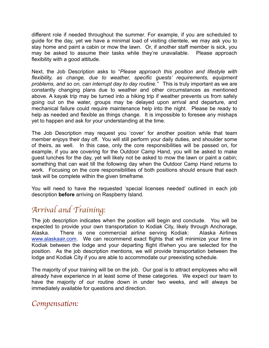different role if needed throughout the summer. For example, if you are scheduled to guide for the day, yet we have a minimal load of visiting clientele, we may ask you to stay home and paint a cabin or mow the lawn. Or, if another staff member is sick, you may be asked to assume their tasks while they're unavailable. Please approach flexibility with a good attitude.

Next, the Job Description asks to "*Please approach this position and lifestyle with flexibility, as change, due to weather, specific guests' requirements, equipment problems, and so on, can interrupt day to day routine."* This is truly important as we are constantly changing plans due to weather and other circumstances as mentioned above. A kayak trip may be turned into a hiking trip if weather prevents us from safely going out on the water, groups may be delayed upon arrival and departure, and mechanical failure could require maintenance help into the night. Please be ready to help as needed and flexible as things change. It is impossible to foresee any mishaps yet to happen and ask for your understanding at the time.

The Job Description may request you 'cover' for another position while that team member enjoys their day off. You will still perform your daily duties, and shoulder some of theirs, as well. In this case, only the core responsibilities will be passed on, for example, if you are covering for the Outdoor Camp Hand, you will be asked to make guest lunches for the day, yet will likely not be asked to mow the lawn or paint a cabin; something that can wait till the following day when the Outdoor Camp Hand returns to work. Focusing on the core responsibilities of both positions should ensure that each task will be complete within the given timeframe.

You will need to have the requested 'special licenses needed' outlined in each job description **before** arriving on Raspberry Island.

## *Arrival and Training:*

The job description indicates when the position will begin and conclude. You will be expected to provide your own transportation to Kodiak City, likely through Anchorage, Alaska. There is one commercial airline serving Kodiak: Alaska Airlines [www.alaskaair.com](http://www.alaskaair.com). We can recommend exact flights that will minimize your time in Kodiak between the lodge and your departing flight if/when you are selected for the position. As the job description mentions, we will provide transportation between the lodge and Kodiak City if you are able to accommodate our preexisting schedule.

The majority of your training will be on the job. Our goal is to attract employees who will already have experience in at least some of these categories. We expect our team to have the majority of our routine down in under two weeks, and will always be immediately available for questions and direction.

#### *Compensa*ti*on:*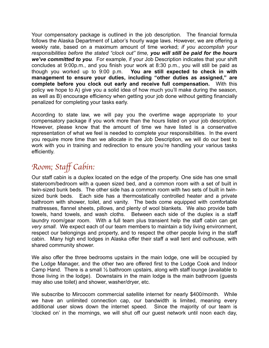Your compensatory package is outlined in the job description. The financial formula follows the Alaska Department of Labor's hourly wage laws. However, we are offering a weekly rate, based on a maximum amount of time worked; *if you accomplish your responsibilities before the stated "clock out" time, you will still be paid for the hours we've committed to you.* For example, if your Job Description indicates that your shift concludes at 9:00p.m., and you finish your work at 8:30 p.m., you will still be paid as though you worked up to 9:00 p.m. **You are still expected to check in with management to ensure your duties, including "other duties as assigned," are complete before you clock out early and receive full compensation.** With this policy we hope to A) give you a solid idea of how much you'll make during the season, as well as B) encourage efficiency when getting your job done without getting financially penalized for completing your tasks early.

According to state law, we will pay you the overtime wage appropriate to your compensatory package if you work more than the hours listed on your job description. However, please know that the amount of time we have listed is a conservative representation of what we feel is needed to complete your responsibilities. In the event you require more time than we allocate in the Job Description, we will do our best to work with you in training and redirection to ensure you're handling your various tasks efficiently.

## *Room; Sta*f *Cabin:*

Our staff cabin is a duplex located on the edge of the property. One side has one small stateroom/bedroom with a queen sized bed, and a common room with a set of built in twin-sized bunk beds. The other side has a common room with two sets of built in twinsized bunk beds. Each side has a thermostatically controlled heater and a private bathroom with shower, toilet, and vanity. The beds come equipped with comfortable mattresses, flannel sheets, pillows, and plenty of wool blankets. We also provide bath towels, hand towels, and wash cloths. Between each side of the duplex is a staff laundry room/gear room. With a full team plus transient help the staff cabin can get *very small*. We expect each of our team members to maintain a tidy living environment, respect our belongings and property, and to respect the other people living in the staff cabin. Many high end lodges in Alaska offer their staff a wall tent and outhouse, with shared community shower.

We also offer the three bedrooms upstairs in the main lodge, one will be occupied by the Lodge Manager, and the other two are offered first to the Lodge Cook and Indoor Camp Hand. There is a small ½ bathroom upstairs, along with staff lounge (available to those living in the lodge). Downstairs in the main lodge is the main bathroom (guests may also use toilet) and shower, washer/dryer, etc.

We subscribe to Mircocom commercial satellite internet for nearly \$400/month. While we have an unlimited connection cap, our bandwidth is limited, meaning every additional user slows down the internet speed. Since the majority of our team is 'clocked on' in the mornings, we will shut off our guest network until noon each day,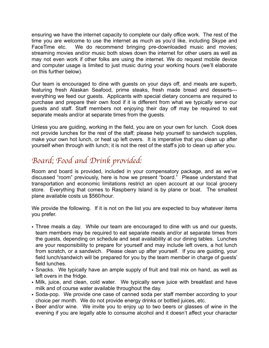ensuring we have the internet capacity to complete our daily office work. The rest of the time you are welcome to use the internet as much as you'd like, including Skype and FaceTime etc. We do recommend bringing pre-downloaded music and movies; streaming movies and/or music both slows down the internet for other users as well as may not even work if other folks are using the internet. We do request mobile device and computer usage is limited to just music during your working hours (we'll elaborate on this further below).

Our team is encouraged to dine with guests on your days off, and meals are superb, featuring fresh Alaskan Seafood, prime steaks, fresh made bread and desserts-- everything we feed our guests. Applicants with special dietary concerns are required to purchase and prepare their own food if it is different from what we typically serve our guests and staff. Staff members not enjoying their day off may be required to eat separate meals and/or at separate times from the guests.

Unless you are guiding, working in the field, you are on your own for lunch. Cook does not provide lunches for the rest of the staff; please help yourself to sandwich supplies, make your own hot lunch, or heat up left overs. It is imperative that you clean up after yourself when through with lunch; it is not the rest of the staff's job to clean up after you.

# *Board; Food and Drink provided:*

Room and board is provided, included in your compensatory package, and as we've discussed "room" previously, here is how we present "board." Please understand that transportation and economic limitations restrict an open account at our local grocery store. Everything that comes to Raspberry Island is by plane or boat. The smallest plane available costs us \$560/hour.

We provide the following. If it is not on the list you are expected to buy whatever items you prefer.

- Three meals a day. While our team are encouraged to dine with us and our guests, team members may be required to eat separate meals and/or at separate times from the guests, depending on schedule and seat availability at our dining tables. Lunches are your responsibility to prepare for yourself and may include left overs, a hot lunch from scratch, or a sandwich. Please clean up after yourself. If you are guiding, your field lunch/sandwich will be prepared for you by the team member in charge of guests' field lunches.
- Snacks. We typically have an ample supply of fruit and trail mix on hand, as well as left overs in the fridge.
- Milk, juice, and clean, cold water. We typically serve juice with breakfast and have milk and of course water available throughout the day.
- Soda-pop. We provide one case of canned soda per staff member according to your choice per month. We do not provide energy drinks or bottled juices, etc.
- Beer and/or wine. We invite you to enjoy up to two beers or glasses of wine in the evening if you are legally able to consume alcohol and it doesn't affect your character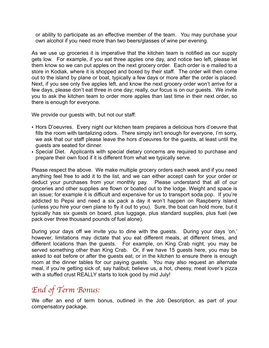or ability to participate as an effective member of the team. You may purchase your own alcohol if you need more than two beers/glasses of wine per evening.

As we use up groceries it is imperative that the kitchen team is notified as our supply gets low. For example, if you eat three apples one day, and notice two left, please let them know so we can put apples on the next grocery order. Each order is e mailed to a store in Kodiak, where it is shopped and boxed by their staff. The order will then come out to the island by plane or boat, typically a few days or more after the order is placed. Next, if you see only five apples left, and know the next grocery order won't arrive for a few days, please don't eat three in one day; really, our focus is on our guests. We invite you to ask the kitchen team to order more apples than last time in their next order, so there is enough for everyone.

We provide our quests with, but not our staff:

- Hors D'oeuvres. Every night our kitchen team prepares a delicious hors d'oeuvre that fills the room with tantalizing odors. There simply isn't enough for everyone, I'm sorry, we ask that our staff please leave the hors d'oeuvres for the guests, at least until the guests are seated for dinner.
- Special Diet. Applicants with special dietary concerns are required to purchase and prepare their own food if it is different from what we typically serve.

Please respect the above. We make multiple grocery orders each week and if you need anything feel free to add it to the list, and we can either accept cash for your order or deduct your purchases from your monthly pay. Please understand that all of our groceries and other supplies are flown or boated out to the lodge. Weight and space is an issue; for example it is difficult and expensive for us to transport soda pop. If you're addicted to Pepsi and need a six pack a day it won't happen on Raspberry Island (unless you hire your own plane to fly it out to you). Sure, the boat can hold more, but it typically has six guests on board, plus luggage, plus standard supplies, plus fuel (we pack over three thousand pounds of fuel alone).

During your days off we invite you to dine with the guests. During your days 'on,' however, limitations may dictate that you eat different meals, at different times, and different locations than the guests. For example, on King Crab night, you may be served something other than King Crab. Or, if we have 15 guests here, you may be asked to eat before or after the guests eat, or in the kitchen to ensure there is enough room at the dinner tables for our paying guests. You may also request an alternate meal, if you're getting sick of, say halibut; believe us, a hot, cheesy, meat lover's pizza with a stuffed crust REALLY starts to look good by mid July!

# *End of Term Bonus:*

We offer an end of term bonus, outlined in the Job Description, as part of your compensatory package.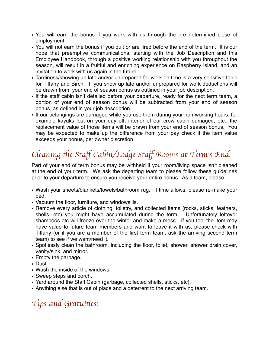- You will earn the bonus if you work with us through the pre determined close of employment.
- You will not earn the bonus if you quit or are fired before the end of the term. It is our hope that preemptive communications, starting with the Job Description and this Employee Handbook, through a positive working relationship with you throughout the season, will result in a fruitful and enriching experience on Raspberry Island, and an invitation to work with us again in the future.
- Tardiness/showing up late and/or unprepared for work on time is a very sensitive topic for Tiffany and Birch. If you show up late and/or unprepared for work deductions will be drawn from your end of season bonus as outlined in your job description.
- If the staff cabin isn't detailed before your departure, ready for the next term team, a portion of your end of season bonus will be subtracted from your end of season bonus, as defined in your job description.
- If our belongings are damaged while you use them during your non-working hours, for example kayaks lost on your day off, interior of our crew cabin damaged, etc., the replacement value of those items will be drawn from your end of season bonus. You may be expected to make up the difference from your pay check if the item value exceeds your bonus, per owner discretion.

# *Cleaning* th*e Sta*f *Cabin/Lodge Sta*f *Rooms at Term*'*s End:*

Part of your end of term bonus may be withheld if your room/living space isn't cleaned at the end of your term. We ask the departing team to please follow these guidelines prior to your departure to ensure you receive your entire bonus. As a team, please:

- Wash your sheets/blankets/towels/bathroom rug. If time allows, please re-make your bed.
- Vacuum the floor, furniture, and windowsills.
- Remove every article of clothing, toiletry, and collected items (rocks, sticks, feathers, shells, etc) you might have accumulated during the term. Unfortunately leftover shampoos etc will freeze over the winter and make a mess. If you feel the item may have value to future team members and want to leave it with us, please check with Tiffany (or if you are a member of the first term team, ask the arriving second term team) to see if we want/need it.
- Spotlessly clean the bathroom, including the floor, toilet, shower, shower drain cover, vanity/sink, and mirror.
- Empty the garbage.
- Dust
- Wash the inside of the windows.
- Sweep steps and porch.
- Yard around the Staff Cabin (garbage, collected shells, sticks, etc).
- Anything else that is out of place and a deterrent to the next arriving team.

# *Tips and Gratui*ti*es:*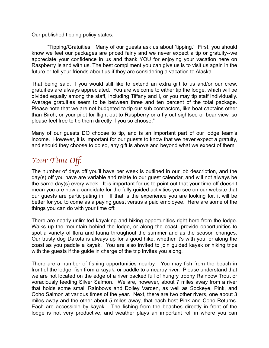Our published tipping policy states:

"Tipping/Gratuities: Many of our guests ask us about 'tipping.' First, you should know we feel our packages are priced fairly and we never expect a tip or gratuity--we appreciate your confidence in us and thank YOU for enjoying your vacation here on Raspberry Island with us. The best compliment you can give us is to visit us again in the future or tell your friends about us if they are considering a vacation to Alaska.

That being said, if you would still like to extend an extra gift to us and/or our crew, gratuities are always appreciated. You are welcome to either tip the lodge, which will be divided equally among the staff, including Tiffany and I, or you may tip staff individually. Average gratuities seem to be between three and ten percent of the total package. Please note that we are not budgeted to tip our sub contractors, like boat captains other than Birch, or your pilot for flight out to Raspberry or a fly out sightsee or bear view, so please feel free to tip them directly if you so choose."

Many of our guests DO choose to tip, and is an important part of our lodge team's income. However, it is important for our guests to know that we never expect a gratuity, and should they choose to do so, any gift is above and beyond what we expect of them.

# *Your Time O*ff*:*

The number of days off you'll have per week is outlined in our job description, and the day(s) off you have are variable and relate to our guest calendar, and will not always be the same day(s) every week. It is important for us to point out that your time off doesn't mean you are now a candidate for the fully guided activities you see on our website that our guests are participating in. If that is the experience you are looking for, it will be better for you to come as a paying guest versus a paid employee. Here are some of the things you can do with your time off:

There are nearly unlimited kayaking and hiking opportunities right here from the lodge. Walks up the mountain behind the lodge, or along the coast, provide opportunities to spot a variety of flora and fauna throughout the summer and as the season changes. Our trusty dog Dakota is always up for a good hike, whether it's with you, or along the coast as you paddle a kayak. You are also invited to join guided kayak or hiking trips with the guests if the guide in charge of the trip invites you along.

There are a number of fishing opportunities nearby. You may fish from the beach in front of the lodge, fish from a kayak, or paddle to a nearby river. Please understand that we are not located on the edge of a river packed full of hungry trophy Rainbow Trout or voraciously feeding Silver Salmon. We are, however, about 7 miles away from a river that holds some small Rainbows and Dolley Varden, as well as Sockeye, Pink, and Coho Salmon at various times of the year. Next, there are two other rivers, one about 3 miles away and the other about 5 miles away, that each host Pink and Coho Returns. Each are accessible by kayak. The fishing from the beaches directly in front of the lodge is not very productive, and weather plays an important roll in where you can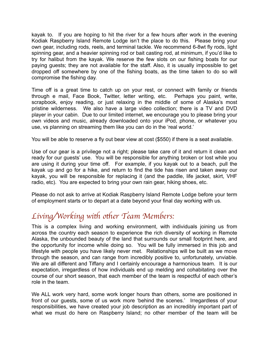kayak to. If you are hoping to hit the river for a few hours after work in the evening Kodiak Raspberry Island Remote Lodge isn't the place to do this. Please bring your own gear, including rods, reels, and terminal tackle. We recommend 6-8wt fly rods, light spinning gear, and a heavier spinning rod or bait casting rod, at minimum, if you'd like to try for halibut from the kayak. We reserve the few slots on our fishing boats for our paying guests; they are not available for the staff. Also, it is usually impossible to get dropped off somewhere by one of the fishing boats, as the time taken to do so will compromise the fishing day.

Time off is a great time to catch up on your rest, or connect with family or friends through e mail, Face Book, Twitter, letter writing, etc. Perhaps you paint, write, scrapbook, enjoy reading, or just relaxing in the middle of some of Alaska's most pristine wilderness. We also have a large video collection; there is a TV and DVD player in your cabin. Due to our limited internet, we encourage you to please bring your own videos and music, already downloaded onto your iPod, phone, or whatever you use, vs planning on streaming them like you can do in the 'real world.'

You will be able to reserve a fly out bear view at cost (\$550) if there is a seat available.

Use of our gear is a privilege not a right; please take care of it and return it clean and ready for our guests' use. You will be responsible for anything broken or lost while you are using it during your time off. For example, if you kayak out to a beach, pull the kayak up and go for a hike, and return to find the tide has risen and taken away our kayak, you will be responsible for replacing it (and the paddle, life jacket, skirt, VHF radio, etc). You are expected to bring your own rain gear, hiking shoes, etc.

Please do not ask to arrive at Kodiak Raspberry Island Remote Lodge before your term of employment starts or to depart at a date beyond your final day working with us.

# *Living/Working with other Team Members:*

This is a complex living and working environment, with individuals joining us from across the country each season to experience the rich diversity of working in Remote Alaska, the unbounded beauty of the land that surrounds our small footprint here, and the opportunity for income while doing so. You will be fully immersed in this job and lifestyle with people you have likely never met. Relationships will be built as we move through the season, and can range from incredibly positive to, unfortunately, unviable. We are all different and Tiffany and I certainly encourage a harmonious team. It is our expectation, irregardless of how individuals end up melding and cohabitating over the course of our short season, that each member of the team is respectful of each other's role in the team.

We ALL work very hard, some work longer hours than others, some are positioned in front of our guests, some of us work more 'behind the scenes.' Irregardless of your responsibilities, we have created your job description as an incredibly important part of what we must do here on Raspberry Island; no other member of the team will be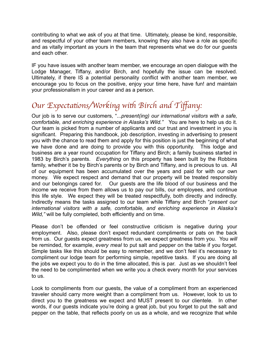contributing to what we ask of you at that time. Ultimately, please be kind, responsible, and respectful of your other team members, knowing they also have a role as specific and as vitally important as yours in the team that represents what we do for our guests and each other.

IF you have issues with another team member, we encourage an open dialogue with the Lodge Manager, Tiffany, and/or Birch, and hopefully the issue can be resolved. Ultimately, if there IS a potential personality conflict with another team member, we encourage you to focus on the positive, enjoy your time here, have fun! and maintain your professionalism in your career and as a person.

# *Our Expectations/Working with Birch and Tiffany:*

Our job is to serve our customers, "...*present(ing) our international visitors with a safe, comfortable, and enriching experience in Alaska's Wild."* You are here to help us do it. Our team is picked from a number of applicants and our trust and investment in you is significant. Preparing this handbook, job description, investing in advertising to present you with the chance to read them and apply for this position is just the beginning of what we have done and are doing to provide you with this opportunity. This lodge and business are a year round occupation for Tiffany and Birch; a family business started in 1983 by Birch's parents. *Everything* on this property has been built by the Robbins family, whether it be by Birch's parents or by Birch and Tiffany, and is precious to us. All of our equipment has been accumulated over the years and paid for with our own money. We expect respect and demand that our property will be treated responsibly and our belongings cared for. Our guests are the life blood of our business and the income we receive from them allows us to pay our bills, our employees, and continue this life style. We expect they will be treated respectfully, both directly and indirectly. Indirectly means the tasks assigned to our team while Tiffany and Birch "*present our international visitors with a safe, comfortable, and enriching experience in Alaska's Wild,"* will be fully completed, both efficiently and on time.

Please don't be offended or feel constructive criticism is negative during your employment. Also, please don't expect redundant compliments or pats on the back from us. Our guests expect greatness from us, we expect greatness from you. You *will*  be reminded, for example, *every meal* to put salt and pepper on the table if you forget*.* Simple tasks like this should be easy to remember, and we don't feel it's necessary to compliment our lodge team for performing simple, repetitive tasks. If you are doing all the jobs we expect you to do in the time allocated, this is par. Just as we shouldn't feel the need to be complimented when we write you a check every month for your services to us.

Look to compliments from our guests, the value of a compliment from an experienced traveler should carry more weight than a compliment from us. However, look to us to direct you to the greatness we expect and MUST present to our clientele. In other words, if our guests indicate you're doing a great job, but you forget to put the salt and pepper on the table, that reflects poorly on us as a whole, and we recognize that while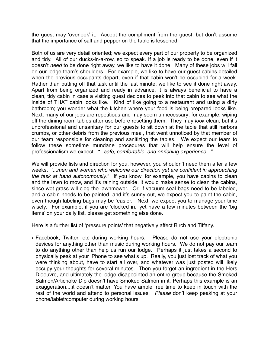the guest may 'overlook' it. Accept the compliment from the guest, but don't assume that the importance of salt and pepper on the table is lessened.

Both of us are very detail oriented; we expect every part of our property to be organized and tidy. All of our ducks-in-a-row, so to speak. If a job is ready to be done, even if it doesn't *need* to be done right away, we like to have it done. Many of these jobs will fall on our lodge team's shoulders. For example, we like to have our guest cabins detailed when the previous occupants depart, even if that cabin won't be occupied for a week. Rather than putting off that task until the last minute, we like to see it done right away. Apart from being organized and ready in advance, it is always beneficial to have a clean, tidy cabin in case a visiting guest decides to peek into that cabin to see what the inside of THAT cabin looks like. Kind of like going to a restaurant and using a dirty bathroom; you wonder what the kitchen where your food is being prepared looks like. Next, many of our jobs are repetitious and may seem unnecessary; for example, wiping off the dining room tables after use before resetting them. They may *look* clean, but it's unprofessional and unsanitary for our guests to sit down at the table that still harbors crumbs, or other debris from the previous meal, that went unnoticed by that member of our team responsible for cleaning and sanitizing the tables. We expect our team to follow these sometime mundane procedures that will help ensure the level of professionalism we expect. *"...safe, comfortable, and enriching experience..."*

We will provide lists and direction for you, however, you shouldn't need them after a few weeks. *"...men and women who welcome our direction yet are confident in approaching the task at hand autonomously."* If you know, for example, you have cabins to clean and the lawn to mow, and it's raining outside, it would make sense to clean the cabins, since wet grass will clog the lawnmower. Or, if vacuum seal bags need to be labeled, and a cabin needs to be painted, and it's sunny out, we expect you to paint the cabin, even though labeling bags may be 'easier.' Next, we expect you to manage your time wisely. For example, if you are 'clocked in,' yet have a few minutes between the 'big items' on your daily list, please get something else done.

Here is a further list of 'pressure points' that negatively affect Birch and Tiffany.

• Facebook, Twitter, etc during working hours. Please do not use your electronic devices for anything other than music during working hours. We do not pay our team to do anything other than help us run our lodge. Perhaps it just takes a second to physically peak at your iPhone to see what's up. Really, you just lost track of what you were thinking about, have to start all over, and whatever was just posted will likely occupy your thoughts for several minutes. Then you forget an ingredient in the Hors D'oeuvre, and ultimately the lodge disappointed an entire group because the Smoked Salmon/Artichoke Dip doesn't have Smoked Salmon in it. Perhaps this example is an exaggeration....it doesn't matter. You have ample free time to keep in touch with the rest of the world and attend to personal issues. *Please* don't keep peaking at your phone/tablet/computer during working hours.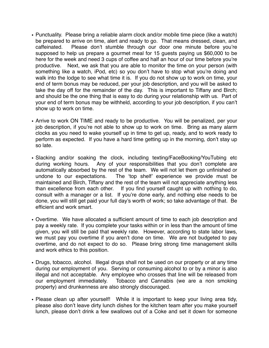- Punctuality. Please bring a reliable alarm clock and/or mobile time piece (like a watch) be prepared to arrive on time, alert and ready to go. That means dressed, clean, and caffeinated. Please don't stumble through our door one minute before you're supposed to help us prepare a gourmet meal for 15 guests paying us \$60,000 to be here for the week and need 3 cups of coffee and half an hour of our time before you're productive. Next, we ask that you are able to monitor the time on your person (with something like a watch, iPod, etc) so you don't have to stop what you're doing and walk into the lodge to see what time it is. If you do not show up to work on time, your end of term bonus may be reduced, per your job description, and you will be asked to take the day off for the remainder of the day. This is important to Tiffany and Birch; and should be the one thing that is easy to do during your relationship with us. Part of your end of term bonus may be withheld, according to your job description, if you can't show up to work on time.
- Arrive to work ON TIME and ready to be productive. You will be penalized, per your job description, if you're not able to show up to work on time. Bring as many alarm clocks as you need to wake yourself up in time to get up, ready, and to work ready to perform as expected. If you have a hard time getting up in the morning, don't stay up so late.
- Slacking and/or soaking the clock, including texting/FaceBooking/YouTubing etc during working hours. Any of your responsibilities that you don't complete are automatically absorbed by the rest of the team. We will not let them go unfinished or undone to our expectations. The 'top shelf' experience we provide must be maintained and Birch, Tiffany and the rest of the team will not appreciate anything less than excellence from each other. If you find yourself caught up with nothing to do, consult with a manager or a list. If you're done early, and nothing else needs to be done, you will still get paid your full day's worth of work; so take advantage of that. Be efficient and work smart.
- Overtime. We have allocated a sufficient amount of time to each job description and pay a weekly rate. If you complete your tasks within or in less than the amount of time given, you will still be paid that weekly rate. However, according to state labor laws, we must pay you overtime if you aren't done on time. We are not budgeted to pay overtime, and do not expect to do so. Please bring strong time management skills and work ethics to this position.
- Drugs, tobacco, alcohol. Illegal drugs shall not be used on our property or at any time during our employment of you. Serving or consuming alcohol to or by a minor is also illegal and not acceptable. Any employee who crosses that line will be released from our employment immediately. Tobacco and Cannabis (we are a non smoking property) and drunkenness are also strongly discouraged.
- Please clean up after yourself! While it is important to keep your living area tidy, please also don't leave dirty lunch dishes for the kitchen team after you make yourself lunch, please don't drink a few swallows out of a Coke and set it down for someone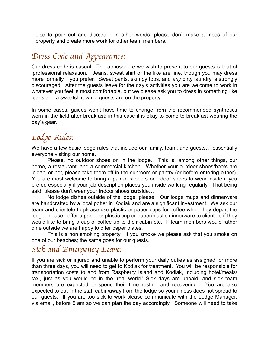else to pour out and discard. In other words, please don't make a mess of our property and create more work for other team members.

## *Dress Code and Appearance:*

Our dress code is casual. The atmosphere we wish to present to our guests is that of 'professional relaxation.' Jeans, sweat shirt or the like are fine, though you may dress more formally if you prefer. Sweat pants, skimpy tops, and *any* dirty laundry is strongly discouraged. After the guests leave for the day's activities you are welcome to work in whatever you feel is most comfortable, but we please ask you to dress in something like jeans and a sweatshirt while guests are on the property.

In some cases, guides won't have time to change from the recommended synthetics worn in the field after breakfast; in this case it is okay to come to breakfast wearing the day's gear.

## *Lodge Rules:*

We have a few basic lodge rules that include our family, team, and guests... essentially everyone visiting our home.

Please, no outdoor shoes on in the lodge. This is, among other things, our home, a restaurant, and a commercial kitchen. Whether your outdoor shoes/boots are 'clean' or not, please take them off in the sunroom or pantry (or before entering either). You are most welcome to bring a pair of slippers or indoor shoes to wear inside if you prefer, especially if your job description places you inside working regularly. That being said, please don't wear your **in**door shoes **out**side…

No lodge dishes outside of the lodge, please. Our lodge mugs and dinnerware are handcrafted by a local potter in Kodiak and are a significant investment. We ask our team and clientele to please use plastic or paper cups for coffee when they depart the lodge; please offer a paper or plastic cup or paper/plastic dinnerware to clientele if they would like to bring a cup of coffee up to their cabin etc. If team members would rather dine outside we are happy to offer paper plates.

This is a non smoking property. If you smoke we please ask that you smoke on one of our beaches; the same goes for our guests.

## *Sick and Emergency Leave:*

If you are sick or injured and unable to perform your daily duties as assigned for more than three days, you will need to get to Kodiak for treatment. You will be responsible for transportation costs to and from Raspberry Island and Kodiak, including hotel/meals/ taxi, just as you would be in the 'real world.' Sick days are unpaid, and sick team members are expected to spend their time resting and recovering. You are also expected to eat in the staff cabin/away from the lodge so your illness does not spread to our guests. If you are too sick to work please communicate with the Lodge Manager, via email, before 5 am so we can plan the day accordingly. Someone will need to take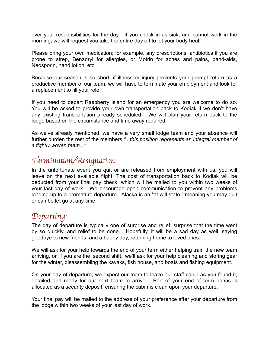over your responsibilities for the day. If you check in as sick, and cannot work in the morning, we will request you take the entire day off to let your body heal.

Please bring your own medication; for example, any prescriptions, antibiotics if you are prone to strep, Benadryl for allergies, or Motrin for aches and pains, band-aids, Neosporin, hand lotion, etc.

Because our season is so short, if illness or injury prevents your prompt return as a productive member of our team, we will have to terminate your employment and look for a replacement to fill your role.

If you need to depart Raspberry Island for an emergency you are welcome to do so. You will be asked to provide your own transportation back to Kodiak if we don't have any existing transportation already scheduled. We will plan your return back to the lodge based on the circumstance and time away required.

As we've already mentioned, we have a very small lodge team and your absence will further burden the rest of the members *"...this position represents an integral member of a tightly woven team..."*

### *Termina*ti*on/Resigna*ti*on:*

In the unfortunate event you quit or are released from employment with us, you will leave on the next available flight. The cost of transportation back to Kodiak will be deducted from your final pay check, which will be mailed to you within two weeks of your last day of work. We encourage open communication to prevent any problems leading up to a premature departure. Alaska is an "at will state," meaning you may quit or can be let go at any time.

#### *Depar*ti*ng:*

The day of departure is typically one of surprise and relief, surprise that the time went by so quickly, and relief to be done. Hopefully, it will be a sad day as well, saying goodbye to new friends, and a happy day, returning home to loved ones.

We will ask for your help towards the end of your term either helping train the new team arriving, or, if you are the 'second shift,' we'll ask for your help cleaning and storing gear for the winter, disassembling the kayaks, fish house, and boats and fishing equipment.

On your day of departure, we expect our team to leave our staff cabin as you found it, detailed and ready for our next team to arrive. Part of your end of term bonus is allocated as a security deposit, ensuring the cabin is clean upon your departure.

Your final pay will be mailed to the address of your preference after your departure from the lodge within two weeks of your last day of work.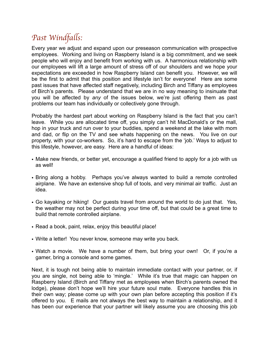## *Past Windfa*ll*s:*

Every year we adjust and expand upon our preseason communication with prospective employees. Working and living on Raspberry Island is a big commitment, and we seek people who will enjoy and benefit from working with us. A harmonious relationship with our employees will lift a large amount of stress off of our shoulders and we hope your expectations are exceeded in how Raspberry Island can benefit you. However, we will be the first to admit that this position and lifestyle isn't for everyone! Here are some past issues that have affected staff negatively, including Birch and Tiffany as employees of Birch's parents. Please understand that we are in no way meaning to insinuate that you will be affected by *any* of the issues below, we're just offering them as past problems our team has individually or collectively gone through.

Probably the hardest part about working on Raspberry Island is the fact that you can't leave. While you are allocated time off, you simply can't hit MacDonald's or the mall, hop in your truck and run over to your buddies, spend a weekend at the lake with mom and dad, or flip on the TV and see whats happening on the news. You live on our property, with your co-workers. So, it's hard to escape from the 'job.' Ways to adjust to this lifestyle, however, are easy. Here are a handful of ideas:

- Make new friends, or better yet, encourage a qualified friend to apply for a job with us as well!
- Bring along a hobby. Perhaps you've always wanted to build a remote controlled airplane. We have an extensive shop full of tools, and very minimal air traffic. Just an idea.
- Go kayaking or hiking! Our guests travel from around the world to do just that. Yes, the weather may not be perfect during your time off, but that could be a great time to build that remote controlled airplane.
- Read a book, paint, relax, enjoy this beautiful place!
- Write a letter! You never know, someone may write you back.
- Watch a movie. We have a number of them, but bring your own! Or, if you're a gamer, bring a console and some games.

Next, it is tough not being able to maintain immediate contact with your partner, or, if you are single, not being able to 'mingle.' While it's true that magic can happen on Raspberry Island (Birch and Tiffany met as employees when Birch's parents owned the lodge), please don't hope we'll hire your future soul mate. Everyone handles this in their own way; please come up with your own plan before accepting this position if it's offered to you. E mails are not always the best way to maintain a relationship, and it has been our experience that your partner will likely assume you are choosing this job